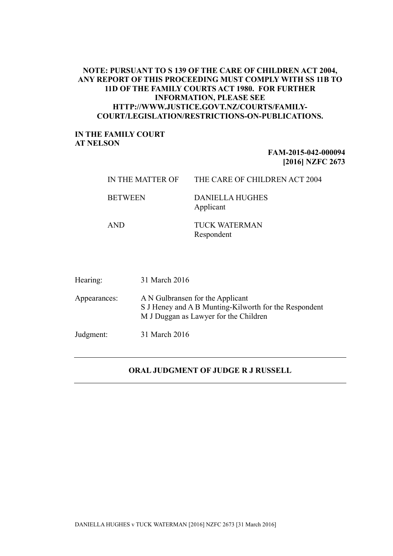## **NOTE: PURSUANT TO S 139 OF THE CARE OF CHILDREN ACT 2004, ANY REPORT OF THIS PROCEEDING MUST COMPLY WITH SS 11B TO 11D OF THE FAMILY COURTS ACT 1980. FOR FURTHER INFORMATION, PLEASE SEE HTTP://WWW.JUSTICE.GOVT.NZ/COURTS/FAMILY-COURT/LEGISLATION/RESTRICTIONS-ON-PUBLICATIONS.**

## **IN THE FAMILY COURT AT NELSON**

## **FAM-2015-042-000094 [2016] NZFC 2673**

|                | IN THE MATTER OF THE CARE OF CHILDREN ACT 2004 |
|----------------|------------------------------------------------|
| <b>BETWEEN</b> | DANIELLA HUGHES<br>Applicant                   |
| <b>AND</b>     | <b>TUCK WATERMAN</b><br>Respondent             |

| Hearing:     | 31 March 2016                                                                                                                      |
|--------------|------------------------------------------------------------------------------------------------------------------------------------|
| Appearances: | A N Gulbransen for the Applicant<br>S J Heney and A B Munting-Kilworth for the Respondent<br>M J Duggan as Lawyer for the Children |
| Judgment:    | 31 March 2016                                                                                                                      |

## **ORAL JUDGMENT OF JUDGE R J RUSSELL**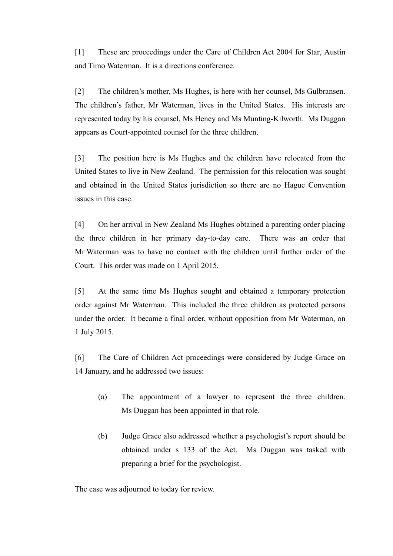[1] These are proceedings under the Care of Children Act 2004 for Star, Austin and Timo Waterman. It is a directions conference.

[2] The children's mother, Ms Hughes, is here with her counsel, Ms Gulbransen. The children's father, Mr Waterman, lives in the United States. His interests are represented today by his counsel, Ms Heney and Ms Munting-Kilworth. Ms Duggan appears as Court-appointed counsel for the three children.

[3] The position here is Ms Hughes and the children have relocated from the United States to live in New Zealand. The permission for this relocation was sought and obtained in the United States jurisdiction so there are no Hague Convention issues in this case.

[4] On her arrival in New Zealand Ms Hughes obtained a parenting order placing the three children in her primary day-to-day care. There was an order that Mr Waterman was to have no contact with the children until further order of the Court. This order was made on 1 April 2015.

[5] At the same time Ms Hughes sought and obtained a temporary protection order against Mr Waterman. This included the three children as protected persons under the order. It became a final order, without opposition from Mr Waterman, on 1 July 2015.

[6] The Care of Children Act proceedings were considered by Judge Grace on 14 January, and he addressed two issues:

- (a) The appointment of a lawyer to represent the three children. Ms Duggan has been appointed in that role.
- (b) Judge Grace also addressed whether a psychologist's report should be obtained under s 133 of the Act. Ms Duggan was tasked with preparing a brief for the psychologist.

The case was adjourned to today for review.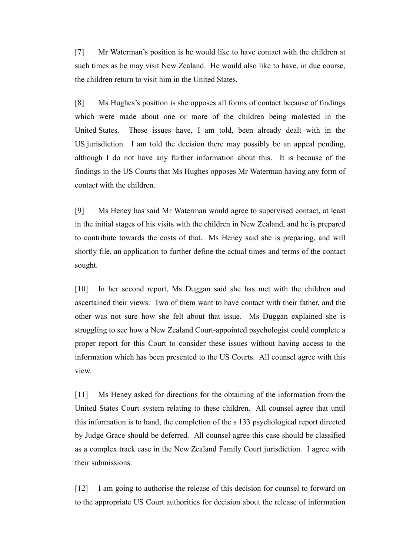[7] Mr Waterman's position is he would like to have contact with the children at such times as he may visit New Zealand. He would also like to have, in due course, the children return to visit him in the United States.

[8] Ms Hughes's position is she opposes all forms of contact because of findings which were made about one or more of the children being molested in the United States. These issues have, I am told, been already dealt with in the US jurisdiction. I am told the decision there may possibly be an appeal pending, although I do not have any further information about this. It is because of the findings in the US Courts that Ms Hughes opposes Mr Waterman having any form of contact with the children.

[9] Ms Heney has said Mr Waterman would agree to supervised contact, at least in the initial stages of his visits with the children in New Zealand, and he is prepared to contribute towards the costs of that. Ms Heney said she is preparing, and will shortly file, an application to further define the actual times and terms of the contact sought.

[10] In her second report, Ms Duggan said she has met with the children and ascertained their views. Two of them want to have contact with their father, and the other was not sure how she felt about that issue. Ms Duggan explained she is struggling to see how a New Zealand Court-appointed psychologist could complete a proper report for this Court to consider these issues without having access to the information which has been presented to the US Courts. All counsel agree with this view.

[11] Ms Heney asked for directions for the obtaining of the information from the United States Court system relating to these children. All counsel agree that until this information is to hand, the completion of the s 133 psychological report directed by Judge Grace should be deferred. All counsel agree this case should be classified as a complex track case in the New Zealand Family Court jurisdiction. I agree with their submissions.

[12] I am going to authorise the release of this decision for counsel to forward on to the appropriate US Court authorities for decision about the release of information